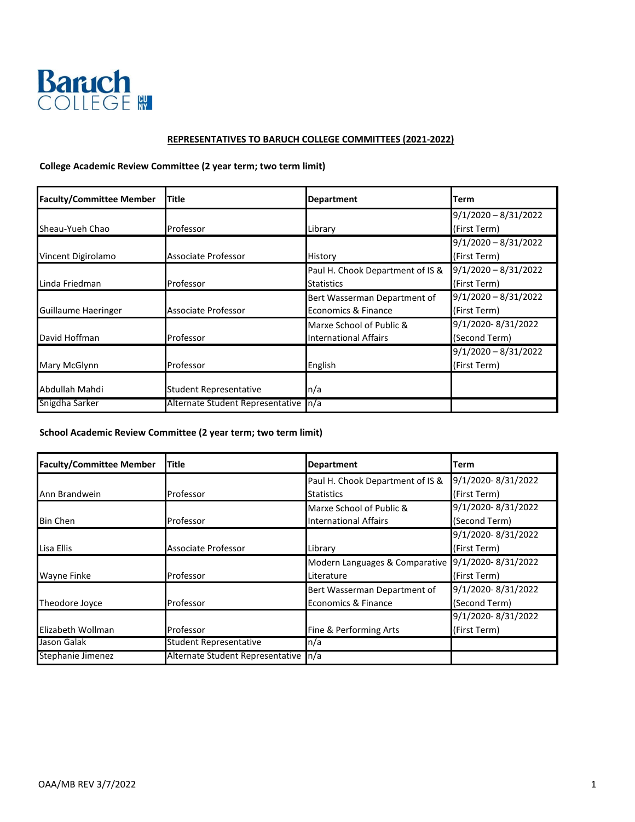

## **REPRESENTATIVES TO BARUCH COLLEGE COMMITTEES (2021-2022)**

**College Academic Review Committee (2 year term; two term limit)**

| <b>Faculty/Committee Member</b> | <b>Title</b>                     | <b>Department</b>                | Term                   |
|---------------------------------|----------------------------------|----------------------------------|------------------------|
|                                 |                                  |                                  | $9/1/2020 - 8/31/2022$ |
| Sheau-Yueh Chao                 | Professor                        | Library                          | (First Term)           |
|                                 |                                  |                                  | $9/1/2020 - 8/31/2022$ |
| Vincent Digirolamo              | Associate Professor              | History                          | (First Term)           |
|                                 |                                  | Paul H. Chook Department of IS & | $9/1/2020 - 8/31/2022$ |
| Linda Friedman                  | Professor                        | <b>Statistics</b>                | (First Term)           |
|                                 |                                  | Bert Wasserman Department of     | $9/1/2020 - 8/31/2022$ |
| Guillaume Haeringer             | Associate Professor              | Economics & Finance              | (First Term)           |
|                                 |                                  | Marxe School of Public &         | 9/1/2020-8/31/2022     |
| David Hoffman                   | Professor                        | <b>International Affairs</b>     | (Second Term)          |
|                                 |                                  |                                  | $9/1/2020 - 8/31/2022$ |
| Mary McGlynn                    | Professor                        | English                          | (First Term)           |
| Abdullah Mahdi                  | <b>Student Representative</b>    | n/a                              |                        |
| Snigdha Sarker                  | Alternate Student Representative | $\mathsf{In}/\mathsf{a}$         |                        |

## **School Academic Review Committee (2 year term; two term limit)**

| <b>Faculty/Committee Member</b> | <b>Title</b>                     | <b>Department</b>                | <b>Term</b>        |
|---------------------------------|----------------------------------|----------------------------------|--------------------|
|                                 |                                  | Paul H. Chook Department of IS & | 9/1/2020-8/31/2022 |
| Ann Brandwein                   | Professor                        | <b>Statistics</b>                | (First Term)       |
|                                 |                                  | Marxe School of Public &         | 9/1/2020-8/31/2022 |
| <b>Bin Chen</b>                 | Professor                        | <b>International Affairs</b>     | (Second Term)      |
|                                 |                                  |                                  | 9/1/2020-8/31/2022 |
| Lisa Ellis                      | Associate Professor              | Library                          | l(First Term)      |
|                                 |                                  | Modern Languages & Comparative   | 9/1/2020-8/31/2022 |
| <b>Wayne Finke</b>              | Professor                        | Literature                       | (First Term)       |
|                                 |                                  | Bert Wasserman Department of     | 9/1/2020-8/31/2022 |
| Theodore Joyce                  | Professor                        | Economics & Finance              | (Second Term)      |
|                                 |                                  |                                  | 9/1/2020-8/31/2022 |
| Elizabeth Wollman               | Professor                        | Fine & Performing Arts           | (First Term)       |
| Jason Galak                     | <b>Student Representative</b>    | n/a                              |                    |
| Stephanie Jimenez               | Alternate Student Representative | $\ln/a$                          |                    |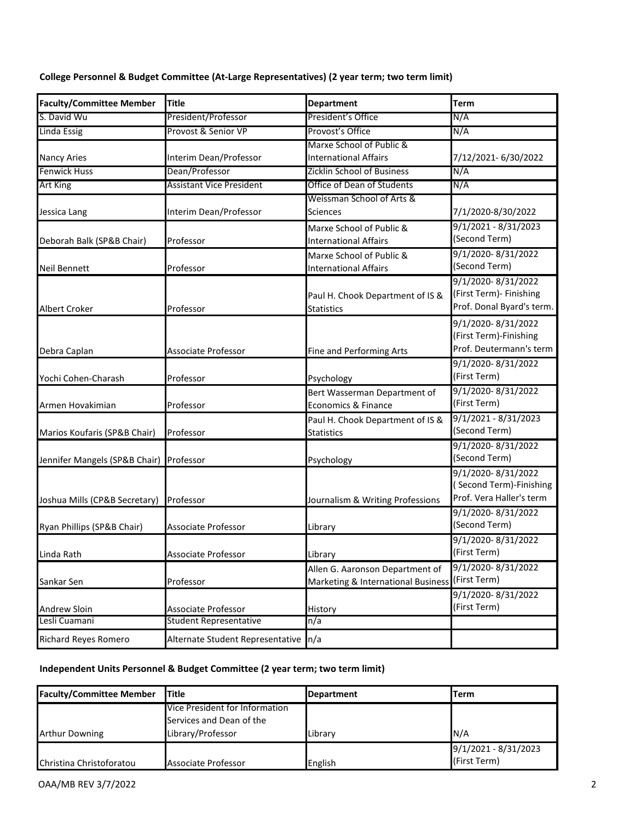**College Personnel & Budget Committee (At-Large Representatives) (2 year term; two term limit)**

| <b>Faculty/Committee Member</b> | <b>Title</b>                     | <b>Department</b>                                                     | <b>Term</b>                                                                 |
|---------------------------------|----------------------------------|-----------------------------------------------------------------------|-----------------------------------------------------------------------------|
| S. David Wu                     | President/Professor              | President's Office                                                    | N/A                                                                         |
| Linda Essig                     | Provost & Senior VP              | Provost's Office                                                      | N/A                                                                         |
| <b>Nancy Aries</b>              | Interim Dean/Professor           | Marxe School of Public &<br><b>International Affairs</b>              | 7/12/2021-6/30/2022                                                         |
| <b>Fenwick Huss</b>             | Dean/Professor                   | <b>Zicklin School of Business</b>                                     | N/A                                                                         |
| <b>Art King</b>                 | <b>Assistant Vice President</b>  | Office of Dean of Students                                            | N/A                                                                         |
| Jessica Lang                    | Interim Dean/Professor           | Weissman School of Arts &<br><b>Sciences</b>                          | 7/1/2020-8/30/2022                                                          |
| Deborah Balk (SP&B Chair)       | Professor                        | Marxe School of Public &<br><b>International Affairs</b>              | $9/1/2021 - 8/31/2023$<br>(Second Term)                                     |
| Neil Bennett                    | Professor                        | Marxe School of Public &<br><b>International Affairs</b>              | 9/1/2020-8/31/2022<br>(Second Term)                                         |
| Albert Croker                   | Professor                        | Paul H. Chook Department of IS &<br><b>Statistics</b>                 | 9/1/2020-8/31/2022<br>(First Term) - Finishing<br>Prof. Donal Byard's term. |
| Debra Caplan                    | Associate Professor              | Fine and Performing Arts                                              | 9/1/2020-8/31/2022<br>(First Term)-Finishing<br>Prof. Deutermann's term     |
| Yochi Cohen-Charash             | Professor                        | Psychology                                                            | 9/1/2020-8/31/2022<br>(First Term)                                          |
| Armen Hovakimian                | Professor                        | Bert Wasserman Department of<br>Economics & Finance                   | 9/1/2020-8/31/2022<br>(First Term)                                          |
| Marios Koufaris (SP&B Chair)    | Professor                        | Paul H. Chook Department of IS &<br><b>Statistics</b>                 | $9/1/2021 - 8/31/2023$<br>(Second Term)                                     |
| Jennifer Mangels (SP&B Chair)   | Professor                        | Psychology                                                            | 9/1/2020-8/31/2022<br>(Second Term)                                         |
| Joshua Mills (CP&B Secretary)   | Professor                        | Journalism & Writing Professions                                      | 9/1/2020-8/31/2022<br>Second Term)-Finishing<br>Prof. Vera Haller's term    |
| Ryan Phillips (SP&B Chair)      | Associate Professor              | Library                                                               | 9/1/2020-8/31/2022<br>(Second Term)                                         |
| Linda Rath                      | Associate Professor              | Library                                                               | 9/1/2020-8/31/2022<br>(First Term)                                          |
| Sankar Sen                      | Professor                        | Allen G. Aaronson Department of<br>Marketing & International Business | 9/1/2020-8/31/2022<br>(First Term)                                          |
| Andrew Sloin                    | Associate Professor              | History                                                               | 9/1/2020-8/31/2022<br>(First Term)                                          |
| Lesli Cuamani                   | <b>Student Representative</b>    | n/a                                                                   |                                                                             |
| <b>Richard Reyes Romero</b>     | Alternate Student Representative | n/a                                                                   |                                                                             |

## **Independent Units Personnel & Budget Committee (2 year term; two term limit)**

| <b>Faculty/Committee Member</b> | lTitle                         | <b>Department</b> | Term                   |
|---------------------------------|--------------------------------|-------------------|------------------------|
|                                 | Vice President for Information |                   |                        |
|                                 | Services and Dean of the       |                   |                        |
| <b>Arthur Downing</b>           | Library/Professor              | Library           | N/A                    |
|                                 |                                |                   | $9/1/2021 - 8/31/2023$ |
| Christina Christoforatou        | Associate Professor            | English           | (First Term)           |